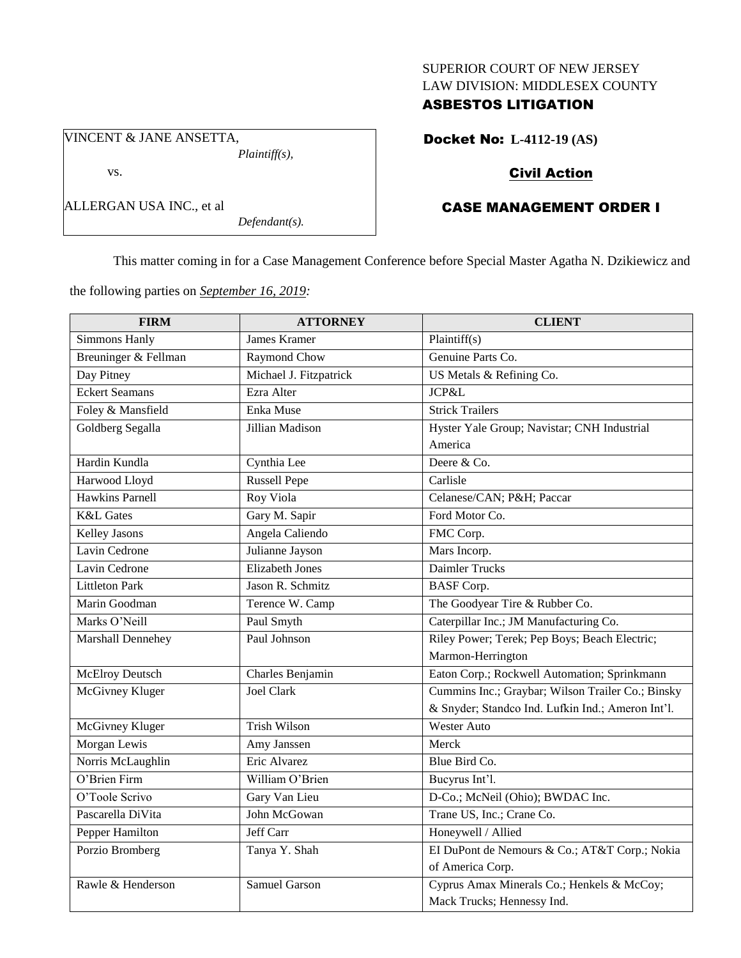## SUPERIOR COURT OF NEW JERSEY LAW DIVISION: MIDDLESEX COUNTY

## ASBESTOS LITIGATION

Docket No: **L-4112-19 (AS)**

# Civil Action

# CASE MANAGEMENT ORDER I

This matter coming in for a Case Management Conference before Special Master Agatha N. Dzikiewicz and

the following parties on *September 16, 2019:*

*Plaintiff(s),*

*Defendant(s).*

VINCENT & JANE ANSETTA,

ALLERGAN USA INC., et al

vs.

| <b>FIRM</b>            | <b>ATTORNEY</b>        | <b>CLIENT</b>                                     |
|------------------------|------------------------|---------------------------------------------------|
| <b>Simmons Hanly</b>   | James Kramer           | Plaintiff(s)                                      |
| Breuninger & Fellman   | Raymond Chow           | Genuine Parts Co.                                 |
| Day Pitney             | Michael J. Fitzpatrick | US Metals & Refining Co.                          |
| <b>Eckert Seamans</b>  | Ezra Alter             | JCP&L                                             |
| Foley & Mansfield      | Enka Muse              | <b>Strick Trailers</b>                            |
| Goldberg Segalla       | Jillian Madison        | Hyster Yale Group; Navistar; CNH Industrial       |
|                        |                        | America                                           |
| Hardin Kundla          | Cynthia Lee            | Deere & Co.                                       |
| Harwood Lloyd          | <b>Russell Pepe</b>    | Carlisle                                          |
| <b>Hawkins Parnell</b> | Roy Viola              | Celanese/CAN; P&H Paccar                          |
| <b>K&amp;L</b> Gates   | Gary M. Sapir          | Ford Motor Co.                                    |
| <b>Kelley Jasons</b>   | Angela Caliendo        | FMC Corp.                                         |
| Lavin Cedrone          | Julianne Jayson        | Mars Incorp.                                      |
| Lavin Cedrone          | <b>Elizabeth Jones</b> | Daimler Trucks                                    |
| <b>Littleton Park</b>  | Jason R. Schmitz       | <b>BASF</b> Corp.                                 |
| Marin Goodman          | Terence W. Camp        | The Goodyear Tire & Rubber Co.                    |
| Marks O'Neill          | Paul Smyth             | Caterpillar Inc.; JM Manufacturing Co.            |
| Marshall Dennehey      | Paul Johnson           | Riley Power; Terek; Pep Boys; Beach Electric;     |
|                        |                        | Marmon-Herrington                                 |
| <b>McElroy Deutsch</b> | Charles Benjamin       | Eaton Corp.; Rockwell Automation; Sprinkmann      |
| McGivney Kluger        | <b>Joel Clark</b>      | Cummins Inc.; Graybar; Wilson Trailer Co.; Binsky |
|                        |                        | & Snyder; Standco Ind. Lufkin Ind.; Ameron Int'l. |
| McGivney Kluger        | <b>Trish Wilson</b>    | <b>Wester Auto</b>                                |
| Morgan Lewis           | Amy Janssen            | Merck                                             |
| Norris McLaughlin      | Eric Alvarez           | Blue Bird Co.                                     |
| O'Brien Firm           | William O'Brien        | Bucyrus Int'l.                                    |
| O'Toole Scrivo         | Gary Van Lieu          | D-Co.; McNeil (Ohio); BWDAC Inc.                  |
| Pascarella DiVita      | John McGowan           | Trane US, Inc.; Crane Co.                         |
| Pepper Hamilton        | Jeff Carr              | Honeywell / Allied                                |
| Porzio Bromberg        | Tanya Y. Shah          | EI DuPont de Nemours & Co.; AT&T Corp.; Nokia     |
|                        |                        | of America Corp.                                  |
| Rawle & Henderson      | Samuel Garson          | Cyprus Amax Minerals Co.; Henkels & McCoy;        |
|                        |                        | Mack Trucks; Hennessy Ind.                        |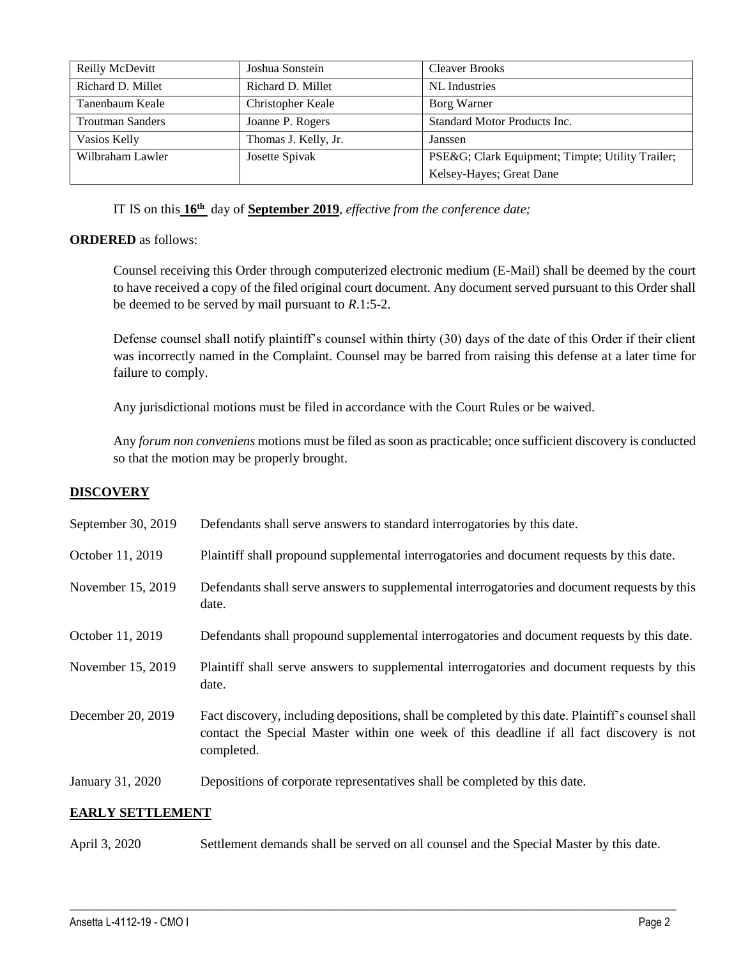| Reilly McDevitt         | Joshua Sonstein      | <b>Cleaver Brooks</b>                           |
|-------------------------|----------------------|-------------------------------------------------|
| Richard D. Millet       | Richard D. Millet    | NL Industries                                   |
| Tanenbaum Keale         | Christopher Keale    | Borg Warner                                     |
| <b>Troutman Sanders</b> | Joanne P. Rogers     | Standard Motor Products Inc.                    |
| Vasios Kelly            | Thomas J. Kelly, Jr. | Janssen                                         |
| Wilbraham Lawler        | Josette Spivak       | PSE&G Clark Equipment; Timpte; Utility Trailer; |
|                         |                      | Kelsey-Hayes; Great Dane                        |

IT IS on this **16th** day of **September 2019**, *effective from the conference date;*

## **ORDERED** as follows:

Counsel receiving this Order through computerized electronic medium (E-Mail) shall be deemed by the court to have received a copy of the filed original court document. Any document served pursuant to this Order shall be deemed to be served by mail pursuant to *R*.1:5-2.

Defense counsel shall notify plaintiff's counsel within thirty (30) days of the date of this Order if their client was incorrectly named in the Complaint. Counsel may be barred from raising this defense at a later time for failure to comply.

Any jurisdictional motions must be filed in accordance with the Court Rules or be waived.

Any *forum non conveniens* motions must be filed as soon as practicable; once sufficient discovery is conducted so that the motion may be properly brought.

## **DISCOVERY**

| <b>EARLY SETTLEMENT</b> |                                                                                                                                                                                                             |  |  |
|-------------------------|-------------------------------------------------------------------------------------------------------------------------------------------------------------------------------------------------------------|--|--|
| January 31, 2020        | Depositions of corporate representatives shall be completed by this date.                                                                                                                                   |  |  |
| December 20, 2019       | Fact discovery, including depositions, shall be completed by this date. Plaintiff's counsel shall<br>contact the Special Master within one week of this deadline if all fact discovery is not<br>completed. |  |  |
| November 15, 2019       | Plaintiff shall serve answers to supplemental interrogatories and document requests by this<br>date.                                                                                                        |  |  |
| October 11, 2019        | Defendants shall propound supplemental interrogatories and document requests by this date.                                                                                                                  |  |  |
| November 15, 2019       | Defendants shall serve answers to supplemental interrogatories and document requests by this<br>date.                                                                                                       |  |  |
| October 11, 2019        | Plaintiff shall propound supplemental interrogatories and document requests by this date.                                                                                                                   |  |  |
| September 30, 2019      | Defendants shall serve answers to standard interrogatories by this date.                                                                                                                                    |  |  |

April 3, 2020 Settlement demands shall be served on all counsel and the Special Master by this date.

 $\_$  , and the set of the set of the set of the set of the set of the set of the set of the set of the set of the set of the set of the set of the set of the set of the set of the set of the set of the set of the set of th